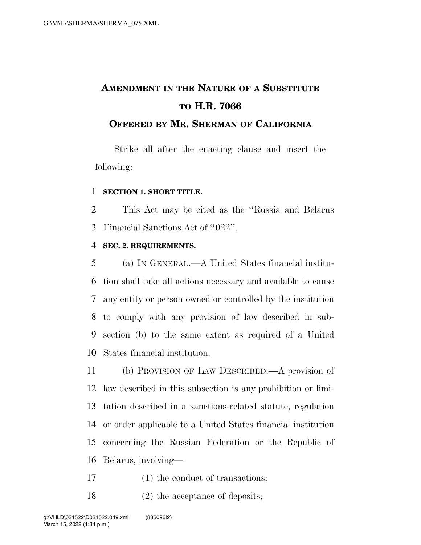# **AMENDMENT IN THE NATURE OF A SUBSTITUTE TO H.R. 7066**

### **OFFERED BY MR. SHERMAN OF CALIFORNIA**

Strike all after the enacting clause and insert the following:

#### **SECTION 1. SHORT TITLE.**

 This Act may be cited as the ''Russia and Belarus Financial Sanctions Act of 2022''.

#### **SEC. 2. REQUIREMENTS.**

 (a) IN GENERAL.—A United States financial institu- tion shall take all actions necessary and available to cause any entity or person owned or controlled by the institution to comply with any provision of law described in sub- section (b) to the same extent as required of a United States financial institution.

 (b) PROVISION OF LAW DESCRIBED.—A provision of law described in this subsection is any prohibition or limi- tation described in a sanctions-related statute, regulation or order applicable to a United States financial institution concerning the Russian Federation or the Republic of Belarus, involving—

- 17 (1) the conduct of transactions;
- 18 (2) the acceptance of deposits;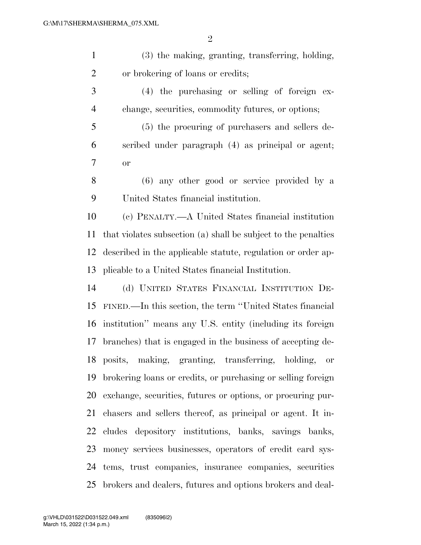| $\mathbf{1}$   | (3) the making, granting, transferring, holding,               |
|----------------|----------------------------------------------------------------|
| $\overline{2}$ | or brokering of loans or credits;                              |
| 3              | $(4)$ the purchasing or selling of foreign ex-                 |
| $\overline{4}$ | change, securities, commodity futures, or options;             |
| 5              | (5) the procuring of purchasers and sellers de-                |
| 6              | scribed under paragraph (4) as principal or agent;             |
| 7              | <b>or</b>                                                      |
| 8              | (6) any other good or service provided by a                    |
| 9              | United States financial institution.                           |
| 10             | (c) PENALTY.—A United States financial institution             |
| 11             | that violates subsection (a) shall be subject to the penalties |
| 12             | described in the applicable statute, regulation or order ap-   |
| 13             | plicable to a United States financial Institution.             |
| 14             | (d) UNITED STATES FINANCIAL INSTITUTION DE-                    |
| 15             | FINED.—In this section, the term "United States financial      |
| 16             | institution" means any U.S. entity (including its foreign      |
| 17             | branches) that is engaged in the business of accepting de-     |
|                | 18 posits, making, granting, transferring, holding, or         |
| 19             | brokering loans or credits, or purchasing or selling foreign   |
| 20             | exchange, securities, futures or options, or procuring pur-    |
| 21             | chasers and sellers thereof, as principal or agent. It in-     |
| 22             | cludes depository institutions, banks, savings banks,          |
| 23             | money services businesses, operators of credit card sys-       |
| 24             | tems, trust companies, insurance companies, securities         |
| 25             | brokers and dealers, futures and options brokers and deal-     |